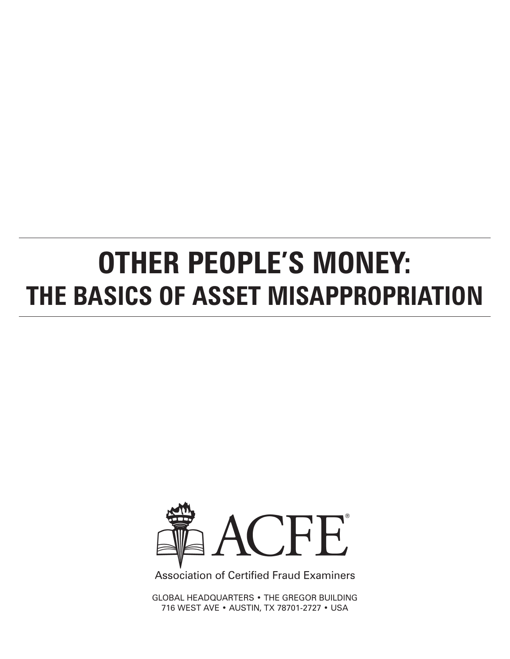# **OTHER PEOPLE'S MONEY: THE BASICS OF ASSET MISAPPROPRIATION**



**Association of Certified Fraud Examiners** 

GLOBAL HEADQUARTERS • the gregor building 716 West Ave • Austin, TX 78701-2727 • USA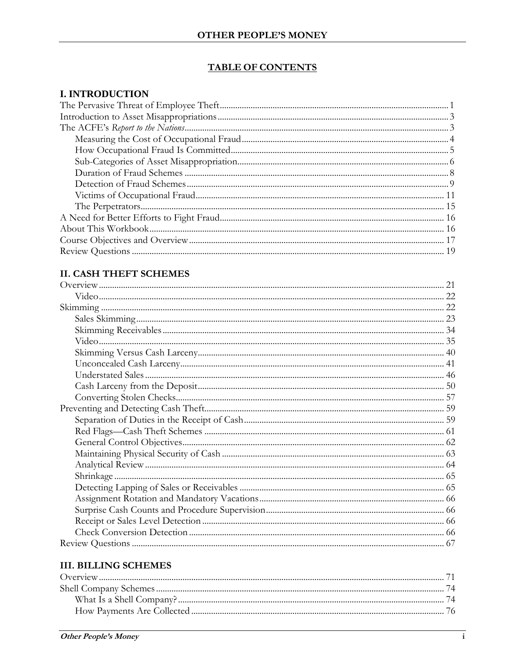#### **TABLE OF CONTENTS**

#### **I. INTRODUCTION**

#### **II. CASH THEFT SCHEMES**

# **III. BILLING SCHEMES**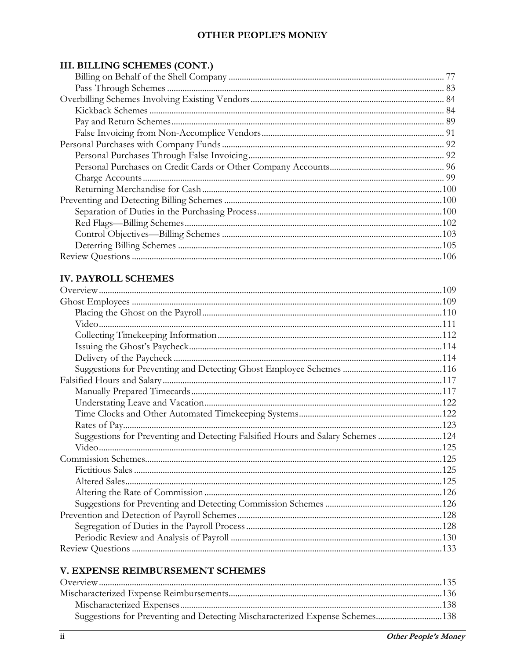## III. BILLING SCHEMES (CONT.)

## **IV. PAYROLL SCHEMES**

| Suggestions for Preventing and Detecting Falsified Hours and Salary Schemes 124 |  |
|---------------------------------------------------------------------------------|--|
|                                                                                 |  |
|                                                                                 |  |
|                                                                                 |  |
|                                                                                 |  |
|                                                                                 |  |
|                                                                                 |  |
|                                                                                 |  |
|                                                                                 |  |
|                                                                                 |  |
|                                                                                 |  |
|                                                                                 |  |
|                                                                                 |  |
|                                                                                 |  |
|                                                                                 |  |
|                                                                                 |  |
|                                                                                 |  |
|                                                                                 |  |
|                                                                                 |  |
|                                                                                 |  |
|                                                                                 |  |
|                                                                                 |  |
|                                                                                 |  |
|                                                                                 |  |

#### V. EXPENSE REIMBURSEMENT SCHEMES

| Suggestions for Preventing and Detecting Mischaracterized Expense Schemes138 |  |
|------------------------------------------------------------------------------|--|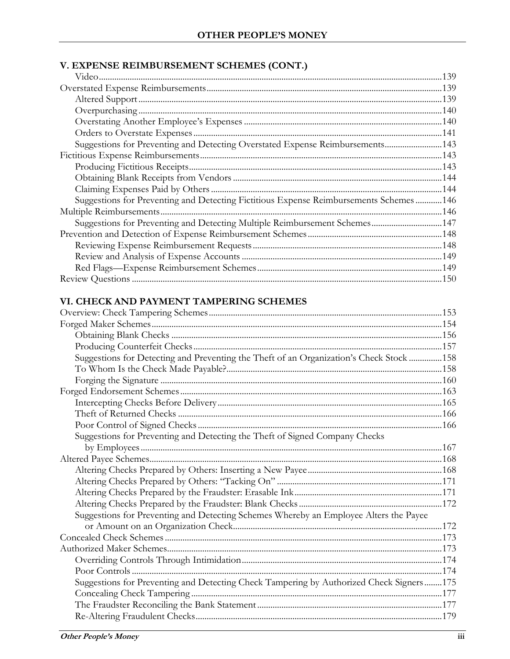## V. EXPENSE REIMBURSEMENT SCHEMES (CONT.)

| Suggestions for Preventing and Detecting Overstated Expense Reimbursements143         |  |
|---------------------------------------------------------------------------------------|--|
|                                                                                       |  |
|                                                                                       |  |
|                                                                                       |  |
|                                                                                       |  |
| Suggestions for Preventing and Detecting Fictitious Expense Reimbursements Schemes146 |  |
|                                                                                       |  |
| Suggestions for Preventing and Detecting Multiple Reimbursement Schemes147            |  |
|                                                                                       |  |
|                                                                                       |  |
|                                                                                       |  |
|                                                                                       |  |
|                                                                                       |  |

# VI. CHECK AND PAYMENT TAMPERING SCHEMES

| Suggestions for Detecting and Preventing the Theft of an Organization's Check Stock  158 |  |
|------------------------------------------------------------------------------------------|--|
|                                                                                          |  |
|                                                                                          |  |
|                                                                                          |  |
|                                                                                          |  |
|                                                                                          |  |
|                                                                                          |  |
| Suggestions for Preventing and Detecting the Theft of Signed Company Checks              |  |
|                                                                                          |  |
|                                                                                          |  |
|                                                                                          |  |
|                                                                                          |  |
|                                                                                          |  |
|                                                                                          |  |
| Suggestions for Preventing and Detecting Schemes Whereby an Employee Alters the Payee    |  |
|                                                                                          |  |
|                                                                                          |  |
|                                                                                          |  |
|                                                                                          |  |
|                                                                                          |  |
| Suggestions for Preventing and Detecting Check Tampering by Authorized Check Signers175  |  |
|                                                                                          |  |
|                                                                                          |  |
|                                                                                          |  |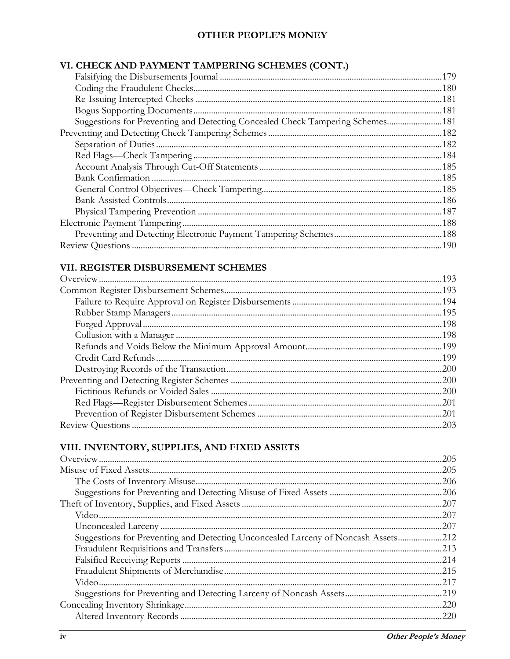# VI. CHECK AND PAYMENT TAMPERING SCHEMES (CONT.)

| Suggestions for Preventing and Detecting Concealed Check Tampering Schemes181 |  |
|-------------------------------------------------------------------------------|--|
|                                                                               |  |
|                                                                               |  |
|                                                                               |  |
|                                                                               |  |
|                                                                               |  |
|                                                                               |  |
|                                                                               |  |
|                                                                               |  |
|                                                                               |  |
|                                                                               |  |
|                                                                               |  |
|                                                                               |  |

## VII. REGISTER DISBURSEMENT SCHEMES

## VIII. INVENTORY, SUPPLIES, AND FIXED ASSETS

|                                                                                   | .205 |
|-----------------------------------------------------------------------------------|------|
|                                                                                   | .205 |
|                                                                                   |      |
|                                                                                   |      |
|                                                                                   |      |
|                                                                                   |      |
|                                                                                   |      |
| Suggestions for Preventing and Detecting Unconcealed Larceny of Noncash Assets212 |      |
|                                                                                   |      |
|                                                                                   |      |
|                                                                                   |      |
|                                                                                   |      |
|                                                                                   |      |
|                                                                                   |      |
|                                                                                   | .220 |
|                                                                                   |      |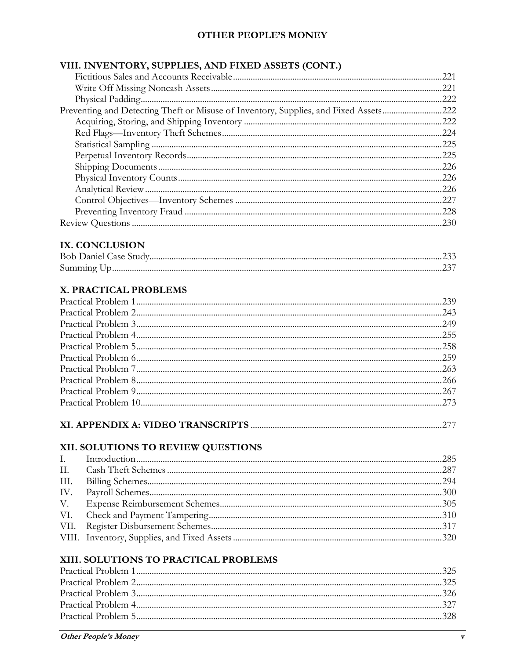# VIII. INVENTORY, SUPPLIES, AND FIXED ASSETS (CONT.)

|                                                                                      | .221 |
|--------------------------------------------------------------------------------------|------|
|                                                                                      | .221 |
|                                                                                      | 222  |
| Preventing and Detecting Theft or Misuse of Inventory, Supplies, and Fixed Assets222 |      |
|                                                                                      |      |
|                                                                                      | .224 |
|                                                                                      |      |
|                                                                                      |      |
|                                                                                      | .226 |
|                                                                                      |      |
|                                                                                      | .226 |
|                                                                                      |      |
|                                                                                      | .228 |
|                                                                                      |      |

## IX. CONCLUSION

| <b>Bob Daniel Case Sti</b> |  |
|----------------------------|--|
|                            |  |

## X. PRACTICAL PROBLEMS

# 

#### XII. SOLUTIONS TO REVIEW QUESTIONS

#### XIII. SOLUTIONS TO PRACTICAL PROBLEMS